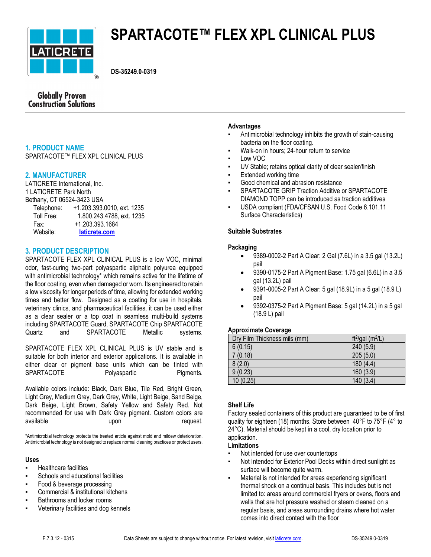

# **SPARTACOTE™ FLEX XPL CLINICAL PLUS**

**DS-35249.0-0319**

# **Globally Proven Construction Solutions**

# **1. PRODUCT NAME**

SPARTACOTE™ FLEX XPL CLINICAL PLUS

# **2. MANUFACTURER**

LATICRETE International, Inc. 1 LATICRETE Park North Bethany, CT 06524-3423 USA Telephone: +1.203.393.0010, ext. 1235

| Toll Free: | 1.800.243.4788, ext. 1235 |
|------------|---------------------------|
| Fax:       | +1.203.393.1684           |
| Website:   | laticrete.com             |

# **3. PRODUCT DESCRIPTION**

SPARTACOTE FLEX XPL CLINICAL PLUS is a low VOC, minimal odor, fast-curing two-part polyaspartic aliphatic polyurea equipped with antimicrobial technology\* which remains active for the lifetime of the floor coating, even when damaged or worn. Its engineered to retain a low viscosity for longer periods of time, allowing for extended working times and better flow. Designed as a coating for use in hospitals, veterinary clinics, and pharmaceutical facilities, it can be used either as a clear sealer or a top coat in seamless multi-build systems including SPARTACOTE Guard, SPARTACOTE Chip SPARTACOTE Quartz and SPARTACOTE Metallic systems.

SPARTACOTE FLEX XPL CLINICAL PLUS is UV stable and is suitable for both interior and exterior applications. It is available in either clear or pigment base units which can be tinted with SPARTACOTE Polyaspartic Pigments.

Available colors include: Black, Dark Blue, Tile Red, Bright Green, Light Grey, Medium Grey, Dark Grey, White, Light Beige, Sand Beige, Dark Beige, Light Brown, Safety Yellow and Safety Red. Not recommended for use with Dark Grey pigment. Custom colors are available upon upon request.

\*Antimicrobial technology protects the treated article against mold and mildew deterioration. Antimicrobial technology is not designed to replace normal cleaning practices or protect users.

#### **Uses**

- **Healthcare facilities**
- Schools and educational facilities
- Food & beverage processing
- Commercial & institutional kitchens
- **Bathrooms and locker rooms**
- Veterinary facilities and dog kennels

#### **Advantages**

- Antimicrobial technology inhibits the growth of stain-causing bacteria on the floor coating.
- Walk-on in hours: 24-hour return to service
- Low VOC
- UV Stable; retains optical clarity of clear sealer/finish
- **Extended working time**
- Good chemical and abrasion resistance
- SPARTACOTE GRIP Traction Additive or SPARTACOTE DIAMOND TOPP can be introduced as traction additives
- USDA compliant (FDA/CFSAN U.S. Food Code 6.101.11 Surface Characteristics)

# **Suitable Substrates**

# **Packaging**

- 9389-0002-2 Part A Clear: 2 Gal (7.6L) in a 3.5 gal (13.2L) pail
- 9390-0175-2 Part A Pigment Base: 1.75 gal (6.6L) in a 3.5 gal (13.2L) pail
- 9391-0005-2 Part A Clear: 5 gal (18.9L) in a 5 gal (18.9 L) pail
- 9392-0375-2 Part A Pigment Base: 5 gal (14.2L) in a 5 gal (18.9 L) pail

#### **Approximate Coverage**

| Dry Film Thickness mils (mm) | ft <sup>2</sup> /gal (m <sup>2</sup> /L) |
|------------------------------|------------------------------------------|
| 6(0.15)                      | 240 (5.9)                                |
| 7(0.18)                      | 205(5.0)                                 |
| 8(2.0)                       | 180(4.4)                                 |
| 9(0.23)                      | 160 (3.9)                                |
| 10(0.25)                     | 140(3.4)                                 |

#### **Shelf Life**

Factory sealed containers of this product are guaranteed to be of first quality for eighteen (18) months. Store between 40°F to 75°F (4° to 24°C). Material should be kept in a cool, dry location prior to application.

#### **Limitations**

- Not intended for use over countertops
- Not Intended for Exterior Pool Decks within direct sunlight as surface will become quite warm.
- Material is not intended for areas experiencing significant thermal shock on a continual basis. This includes but is not limited to: areas around commercial fryers or ovens, floors and walls that are hot pressure washed or steam cleaned on a regular basis, and areas surrounding drains where hot water comes into direct contact with the floor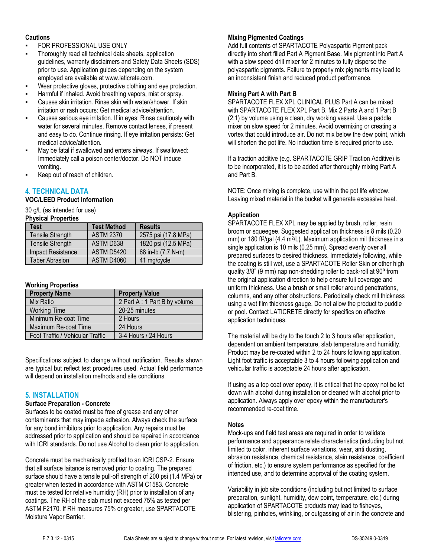#### **Cautions**

- FOR PROFESSIONAL USE ONLY
- Thoroughly read all technical data sheets, application guidelines, warranty disclaimers and Safety Data Sheets (SDS) prior to use. Application guides depending on the system employed are available at www.laticrete.com.
- Wear protective gloves, protective clothing and eye protection.
- Harmful if inhaled. Avoid breathing vapors, mist or spray.
- Causes skin irritation. Rinse skin with water/shower. If skin irritation or rash occurs: Get medical advice/attention.
- Causes serious eye irritation. If in eyes: Rinse cautiously with water for several minutes. Remove contact lenses, if present and easy to do. Continue rinsing. If eye irritation persists: Get medical advice/attention.
- May be fatal if swallowed and enters airways. If swallowed: Immediately call a poison center/doctor. Do NOT induce vomiting.
- Keep out of reach of children.

# **4. TECHNICAL DATA**

# **VOC/LEED Product Information**

30 g/L (as intended for use)

**Physical Properties**

| Test                  | <b>Test Method</b> | <b>Results</b>      |
|-----------------------|--------------------|---------------------|
| Tensile Strength      | <b>ASTM 2370</b>   | 2575 psi (17.8 MPa) |
| Tensile Strength      | ASTM D638          | 1820 psi (12.5 MPa) |
| Impact Resistance     | ASTM D5420         | 68 in-lb (7.7 N-m)  |
| <b>Taber Abrasion</b> | ASTM D4060         | 41 mg/cycle         |

#### **Working Properties**

| <b>Property Name</b>             | <b>Property Value</b>        |
|----------------------------------|------------------------------|
| Mix Ratio                        | 2 Part A: 1 Part B by volume |
| <b>Working Time</b>              | 20-25 minutes                |
| Minimum Re-coat Time             | 2 Hours                      |
| Maximum Re-coat Time             | 24 Hours                     |
| Foot Traffic / Vehicular Traffic | 3-4 Hours / 24 Hours         |

Specifications subject to change without notification. Results shown are typical but reflect test procedures used. Actual field performance will depend on installation methods and site conditions.

# **5. INSTALLATION**

#### **Surface Preparation - Concrete**

Surfaces to be coated must be free of grease and any other contaminants that may impede adhesion. Always check the surface for any bond inhibitors prior to application. Any repairs must be addressed prior to application and should be repaired in accordance with ICRI standards. Do not use Alcohol to clean prior to application.

Concrete must be mechanically profiled to an ICRI CSP-2. Ensure that all surface laitance is removed prior to coating. The prepared surface should have a tensile pull-off strength of 200 psi (1.4 MPa) or greater when tested in accordance with ASTM C1583. Concrete must be tested for relative humidity (RH) prior to installation of any coatings. The RH of the slab must not exceed 75% as tested per ASTM F2170. If RH measures 75% or greater, use SPARTACOTE Moisture Vapor Barrier.

# **Mixing Pigmented Coatings**

Add full contents of SPARTACOTE Polyaspartic Pigment pack directly into short filled Part A Pigment Base. Mix pigment into Part A with a slow speed drill mixer for 2 minutes to fully disperse the polyaspartic pigments. Failure to properly mix pigments may lead to an inconsistent finish and reduced product performance.

# **Mixing Part A with Part B**

SPARTACOTE FLEX XPL CLINICAL PLUS Part A can be mixed with SPARTACOTE FLEX XPL Part B. Mix 2 Parts A and 1 Part B. (2:1) by volume using a clean, dry working vessel. Use a paddle mixer on slow speed for 2 minutes. Avoid overmixing or creating a vortex that could introduce air. Do not mix below the dew point, which will shorten the pot life. No induction time is required prior to use.

If a traction additive (e.g. SPARTACOTE GRIP Traction Additive) is to be incorporated, it is to be added after thoroughly mixing Part A and Part B.

NOTE: Once mixing is complete, use within the pot life window. Leaving mixed material in the bucket will generate excessive heat.

#### **Application**

SPARTACOTE FLEX XPL may be applied by brush, roller, resin broom or squeegee. Suggested application thickness is 8 mils (0.20 mm) or 180 ft<sup>2</sup>/gal (4.4 m<sup>2</sup>/L). Maximum application mil thickness in a single application is 10 mils (0.25 mm). Spread evenly over all prepared surfaces to desired thickness. Immediately following, while the coating is still wet, use a SPARTACOTE Roller Skin or other high quality 3/8" (9 mm) nap non-shedding roller to back-roll at 90° from the original application direction to help ensure full coverage and uniform thickness. Use a brush or small roller around penetrations, columns, and any other obstructions. Periodically check mil thickness using a wet film thickness gauge. Do not allow the product to puddle or pool. Contact LATICRETE directly for specifics on effective application techniques.

The material will be dry to the touch 2 to 3 hours after application, dependent on ambient temperature, slab temperature and humidity. Product may be re-coated within 2 to 24 hours following application. Light foot traffic is acceptable 3 to 4 hours following application and vehicular traffic is acceptable 24 hours after application.

If using as a top coat over epoxy, it is critical that the epoxy not be let down with alcohol during installation or cleaned with alcohol prior to application. Always apply over epoxy within the manufacturer's recommended re-coat time.

#### **Notes**

Mock-ups and field test areas are required in order to validate performance and appearance relate characteristics (including but not limited to color, inherent surface variations, wear, anti dusting, abrasion resistance, chemical resistance, stain resistance, coefficient of friction, etc.) to ensure system performance as specified for the intended use, and to determine approval of the coating system.

Variability in job site conditions (including but not limited to surface preparation, sunlight, humidity, dew point, temperature, etc.) during application of SPARTACOTE products may lead to fisheyes, blistering, pinholes, wrinkling, or outgassing of air in the concrete and